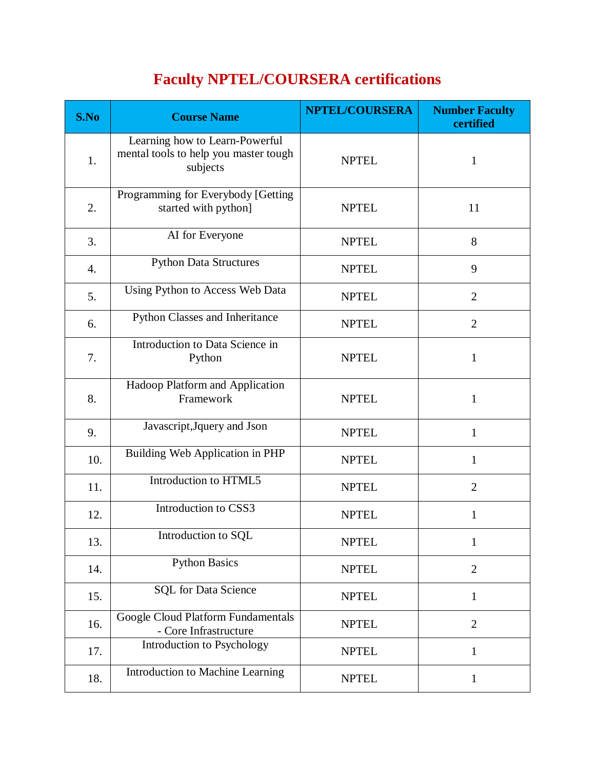## **Faculty NPTEL/COURSERA certifications**

| S.No | <b>Course Name</b>                                                                  | <b>NPTEL/COURSERA</b> | <b>Number Faculty</b><br>certified |
|------|-------------------------------------------------------------------------------------|-----------------------|------------------------------------|
| 1.   | Learning how to Learn-Powerful<br>mental tools to help you master tough<br>subjects | <b>NPTEL</b>          | $\mathbf{1}$                       |
| 2.   | Programming for Everybody [Getting<br>started with python]                          | <b>NPTEL</b>          | 11                                 |
| 3.   | AI for Everyone                                                                     | <b>NPTEL</b>          | 8                                  |
| 4.   | <b>Python Data Structures</b>                                                       | <b>NPTEL</b>          | 9                                  |
| 5.   | Using Python to Access Web Data                                                     | <b>NPTEL</b>          | $\overline{2}$                     |
| 6.   | Python Classes and Inheritance                                                      | <b>NPTEL</b>          | $\overline{2}$                     |
| 7.   | Introduction to Data Science in<br>Python                                           | <b>NPTEL</b>          | $\mathbf{1}$                       |
| 8.   | Hadoop Platform and Application<br>Framework                                        | <b>NPTEL</b>          | $\mathbf{1}$                       |
| 9.   | Javascript, Jquery and Json                                                         | <b>NPTEL</b>          | $\mathbf{1}$                       |
| 10.  | Building Web Application in PHP                                                     | <b>NPTEL</b>          | $\mathbf{1}$                       |
| 11.  | Introduction to HTML5                                                               | <b>NPTEL</b>          | $\overline{2}$                     |
| 12.  | Introduction to CSS3                                                                | <b>NPTEL</b>          | $\mathbf{1}$                       |
| 13.  | Introduction to SQL                                                                 | <b>NPTEL</b>          | $\mathbf{1}$                       |
| 14.  | <b>Python Basics</b>                                                                | <b>NPTEL</b>          | $\overline{2}$                     |
| 15.  | <b>SQL</b> for Data Science                                                         | <b>NPTEL</b>          | $\mathbf{1}$                       |
| 16.  | Google Cloud Platform Fundamentals<br>- Core Infrastructure                         | <b>NPTEL</b>          | $\overline{2}$                     |
| 17.  | Introduction to Psychology                                                          | <b>NPTEL</b>          | $\mathbf{1}$                       |
| 18.  | Introduction to Machine Learning                                                    | <b>NPTEL</b>          | $\mathbf{1}$                       |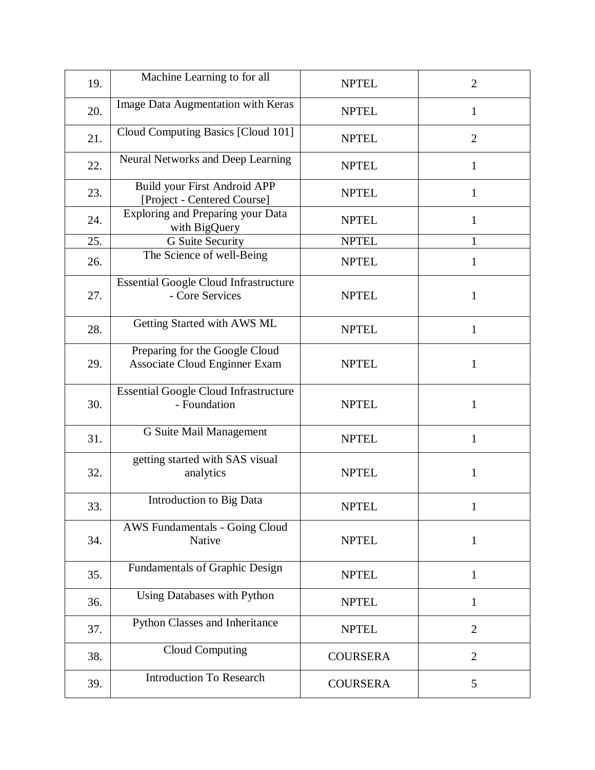| 19. | Machine Learning to for all                                            | <b>NPTEL</b>    | $\overline{2}$ |
|-----|------------------------------------------------------------------------|-----------------|----------------|
| 20. | Image Data Augmentation with Keras                                     | <b>NPTEL</b>    | $\mathbf{1}$   |
| 21. | Cloud Computing Basics [Cloud 101]                                     | <b>NPTEL</b>    | $\overline{2}$ |
| 22. | Neural Networks and Deep Learning                                      | <b>NPTEL</b>    | $\mathbf{1}$   |
| 23. | Build your First Android APP<br>[Project - Centered Course]            | <b>NPTEL</b>    | $\mathbf{1}$   |
| 24. | Exploring and Preparing your Data<br>with BigQuery                     | <b>NPTEL</b>    | $\mathbf{1}$   |
| 25. | G Suite Security                                                       | <b>NPTEL</b>    | $\mathbf{1}$   |
| 26. | The Science of well-Being                                              | <b>NPTEL</b>    | $\mathbf{1}$   |
| 27. | <b>Essential Google Cloud Infrastructure</b><br>- Core Services        | <b>NPTEL</b>    | 1              |
| 28. | Getting Started with AWS ML                                            | <b>NPTEL</b>    | $\mathbf{1}$   |
| 29. | Preparing for the Google Cloud<br><b>Associate Cloud Enginner Exam</b> | <b>NPTEL</b>    | $\mathbf{1}$   |
| 30. | <b>Essential Google Cloud Infrastructure</b><br>- Foundation           | <b>NPTEL</b>    | $\mathbf{1}$   |
| 31. | G Suite Mail Management                                                | <b>NPTEL</b>    | 1              |
| 32. | getting started with SAS visual<br>analytics                           | <b>NPTEL</b>    | 1              |
| 33. | Introduction to Big Data                                               | <b>NPTEL</b>    | $\mathbf{1}$   |
| 34. | AWS Fundamentals - Going Cloud<br>Native                               | <b>NPTEL</b>    | 1              |
| 35. | Fundamentals of Graphic Design                                         | <b>NPTEL</b>    | $\mathbf{1}$   |
| 36. | <b>Using Databases with Python</b>                                     | <b>NPTEL</b>    | $\mathbf{1}$   |
| 37. | Python Classes and Inheritance                                         | <b>NPTEL</b>    | $\overline{2}$ |
| 38. | Cloud Computing                                                        | <b>COURSERA</b> | $\overline{2}$ |
| 39. | <b>Introduction To Research</b>                                        | <b>COURSERA</b> | 5              |